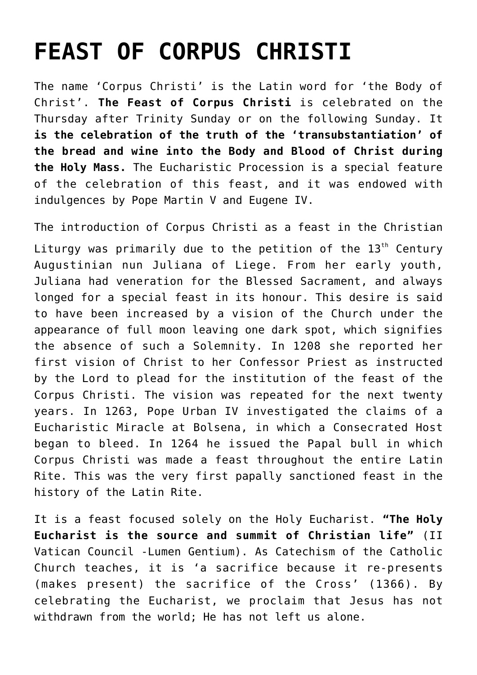## **[FEAST OF CORPUS CHRISTI](https://www.mariakumar.org/2011/06/27/feast-of-corpus-christi/)**

The name 'Corpus Christi' is the Latin word for 'the Body of Christ'. **The Feast of Corpus Christi** is celebrated on the Thursday after Trinity Sunday or on the following Sunday. It **is the celebration of the truth of the 'transubstantiation' of the bread and wine into the Body and Blood of Christ during the Holy Mass.** The Eucharistic Procession is a special feature of the celebration of this feast, and it was endowed with indulgences by Pope Martin V and Eugene IV.

The introduction of Corpus Christi as a feast in the Christian Liturgy was primarily due to the petition of the  $13<sup>th</sup>$  Century Augustinian nun Juliana of Liege. From her early youth, Juliana had veneration for the Blessed Sacrament, and always longed for a special feast in its honour. This desire is said to have been increased by a vision of the Church under the appearance of full moon leaving one dark spot, which signifies the absence of such a Solemnity. In 1208 she reported her first vision of Christ to her Confessor Priest as instructed by the Lord to plead for the institution of the feast of the Corpus Christi. The vision was repeated for the next twenty years. In 1263, Pope Urban IV investigated the claims of a Eucharistic Miracle at Bolsena, in which a Consecrated Host began to bleed. In 1264 he issued the Papal bull in which Corpus Christi was made a feast throughout the entire Latin Rite. This was the very first papally sanctioned feast in the history of the Latin Rite.

It is a feast focused solely on the Holy Eucharist. **"The Holy Eucharist is the source and summit of Christian life"** (II Vatican Council -Lumen Gentium). As Catechism of the Catholic Church teaches, it is 'a sacrifice because it re-presents (makes present) the sacrifice of the Cross' (1366). By celebrating the Eucharist, we proclaim that Jesus has not withdrawn from the world; He has not left us alone.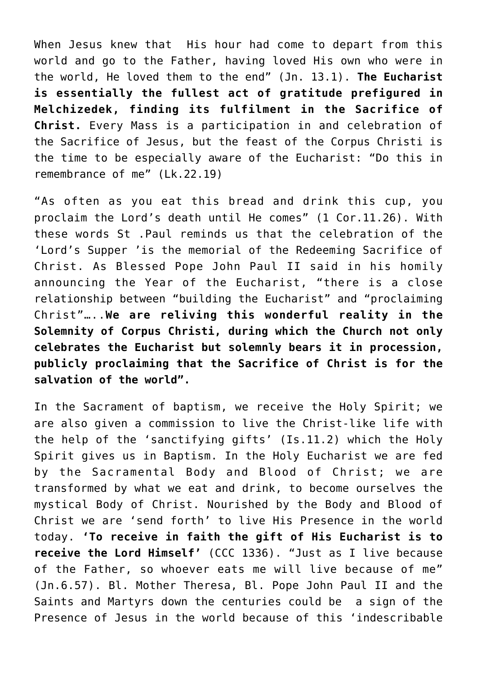When Jesus knew that His hour had come to depart from this world and go to the Father, having loved His own who were in the world, He loved them to the end" (Jn. 13.1). **The Eucharist is essentially the fullest act of gratitude prefigured in Melchizedek, finding its fulfilment in the Sacrifice of Christ.** Every Mass is a participation in and celebration of the Sacrifice of Jesus, but the feast of the Corpus Christi is the time to be especially aware of the Eucharist: "Do this in remembrance of me" (Lk.22.19)

"As often as you eat this bread and drink this cup, you proclaim the Lord's death until He comes" (1 Cor.11.26). With these words St .Paul reminds us that the celebration of the 'Lord's Supper 'is the memorial of the Redeeming Sacrifice of Christ. As Blessed Pope John Paul II said in his homily announcing the Year of the Eucharist, "there is a close relationship between "building the Eucharist" and "proclaiming Christ"…..**We are reliving this wonderful reality in the Solemnity of Corpus Christi, during which the Church not only celebrates the Eucharist but solemnly bears it in procession, publicly proclaiming that the Sacrifice of Christ is for the salvation of the world".**

In the Sacrament of baptism, we receive the Holy Spirit; we are also given a commission to live the Christ-like life with the help of the 'sanctifying gifts' (Is.11.2) which the Holy Spirit gives us in Baptism. In the Holy Eucharist we are fed by the Sacramental Body and Blood of Christ; we are transformed by what we eat and drink, to become ourselves the mystical Body of Christ. Nourished by the Body and Blood of Christ we are 'send forth' to live His Presence in the world today. **'To receive in faith the gift of His Eucharist is to receive the Lord Himself'** (CCC 1336). "Just as I live because of the Father, so whoever eats me will live because of me" (Jn.6.57). Bl. Mother Theresa, Bl. Pope John Paul II and the Saints and Martyrs down the centuries could be a sign of the Presence of Jesus in the world because of this 'indescribable